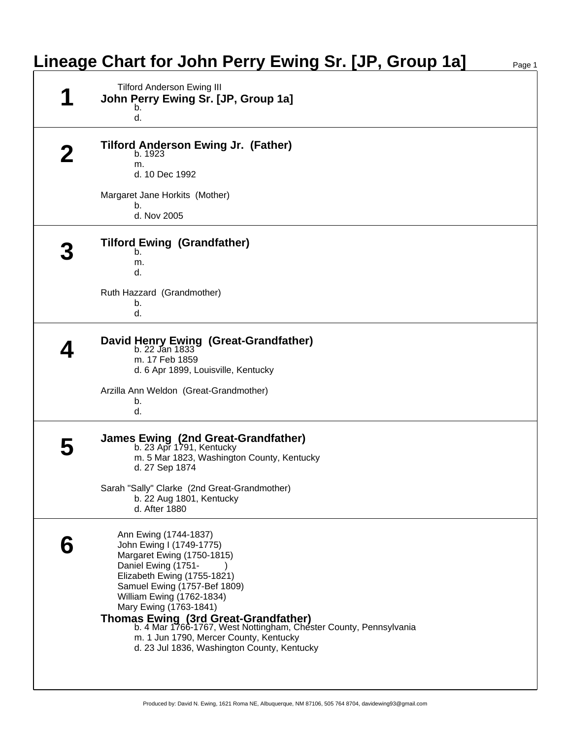|  | <b>Tilford Anderson Ewing III</b>                                                                                |
|--|------------------------------------------------------------------------------------------------------------------|
|  | John Perry Ewing Sr. [JP, Group 1a]<br>b.                                                                        |
|  | d.                                                                                                               |
|  | <b>Tilford Anderson Ewing Jr. (Father)</b>                                                                       |
|  | b. 1923<br>m.                                                                                                    |
|  | d. 10 Dec 1992                                                                                                   |
|  | Margaret Jane Horkits (Mother)                                                                                   |
|  | b.<br>d. Nov 2005                                                                                                |
|  | <b>Tilford Ewing (Grandfather)</b>                                                                               |
|  | b.<br>m.                                                                                                         |
|  | d.                                                                                                               |
|  | Ruth Hazzard (Grandmother)                                                                                       |
|  | b.<br>d.                                                                                                         |
|  | David Henry Ewing (Great-Grandfather)<br>b. 22 Jan 1833                                                          |
|  | m. 17 Feb 1859                                                                                                   |
|  | d. 6 Apr 1899, Louisville, Kentucky                                                                              |
|  | Arzilla Ann Weldon (Great-Grandmother)                                                                           |
|  | b.<br>d.                                                                                                         |
|  | James Ewing (2nd Great-Grandfather)                                                                              |
|  | b. 23 Apr 1791, Kentucky<br>m. 5 Mar 1823, Washington County, Kentucky                                           |
|  | d. 27 Sep 1874                                                                                                   |
|  | Sarah "Sally" Clarke (2nd Great-Grandmother)                                                                     |
|  | b. 22 Aug 1801, Kentucky<br>d. After 1880                                                                        |
|  |                                                                                                                  |
|  | Ann Ewing (1744-1837)<br>John Ewing I (1749-1775)                                                                |
|  | Margaret Ewing (1750-1815)                                                                                       |
|  | Daniel Ewing (1751-                                                                                              |
|  | Elizabeth Ewing (1755-1821)<br>Samuel Ewing (1757-Bef 1809)                                                      |
|  | William Ewing (1762-1834)                                                                                        |
|  | Mary Ewing (1763-1841)                                                                                           |
|  | <b>Thomas Ewing (3rd Great-Grandfather)</b><br>b. 4 Mar 1766-1767, West Nottingham, Chester County, Pennsylvania |
|  | m. 1 Jun 1790, Mercer County, Kentucky                                                                           |
|  | d. 23 Jul 1836, Washington County, Kentucky                                                                      |